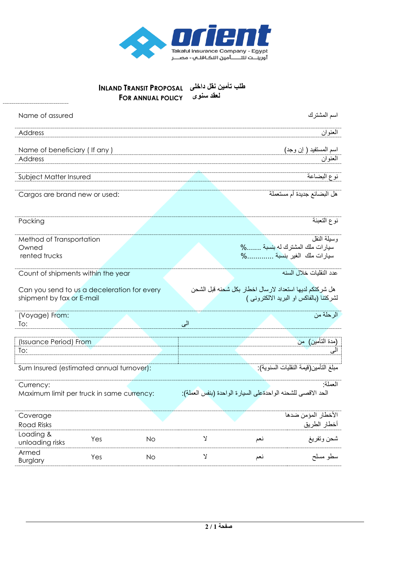

## **INLAND TRANSIT PROPOSAL طلب تأمين نقل داخلى**

| <b>FOR ANNUAL POLICY</b>                                                 | لعقد سنوى                                                                                          |
|--------------------------------------------------------------------------|----------------------------------------------------------------------------------------------------|
| Name of assured                                                          | اسم المشترك                                                                                        |
| Address                                                                  | العنوان                                                                                            |
| Name of beneficiary (If any)<br>Address                                  | اسم المستفيد ( إن وجد)<br>العنوان                                                                  |
| Subject Matter Insured                                                   | نوع البضاعة                                                                                        |
| Cargos are brand new or used:                                            | هل البضائع جديدة أم مستعملة                                                                        |
| Packing                                                                  | نوع التعبئة                                                                                        |
| Method of Transportation<br>Owned<br>rented trucks                       | وسيلة النقل<br>سيارات ملك المشترك له بنسبة %<br>سيارات ملك الغير بنسبة %                           |
| Count of shipments within the year                                       | عدد النقليات خلال السنه                                                                            |
| Can you send to us a deceleration for every<br>shipment by fax or E-mail | هل شركتكم لديها استعداد لارسال اخطار بكل شحنه قبل الشحن<br>لشركتنا (بالفاكس او البريد الالكتروني ) |
| (Voyage) From:<br>To:                                                    | الرحلة من<br>الى                                                                                   |
| (Issuance Period) From                                                   | (مدة التأمين)  من                                                                                  |
| To:                                                                      |                                                                                                    |
| Sum Insured (estimated annual turnover):                                 | مبلغ التأمين(قيمة النقليات السنوية):                                                               |
| Currency:<br>Maximum limit per truck in same currency:                   | العملة·<br>الحد الاقصى للشحنه الواحدةعلى السيارة الواحدة (بنفس العملة):                            |

| Coverage<br><b>Road Risks</b> |     |    |     | الأخطار المؤمن ضدها<br>أخطار الطريق |
|-------------------------------|-----|----|-----|-------------------------------------|
| Loading &<br>unloading risks  | Yes | Νo | نعد | شحن وتفريغ                          |
| Armed<br><b>Burglary</b>      | Yes | Νo | نعد | سطو مسلح                            |